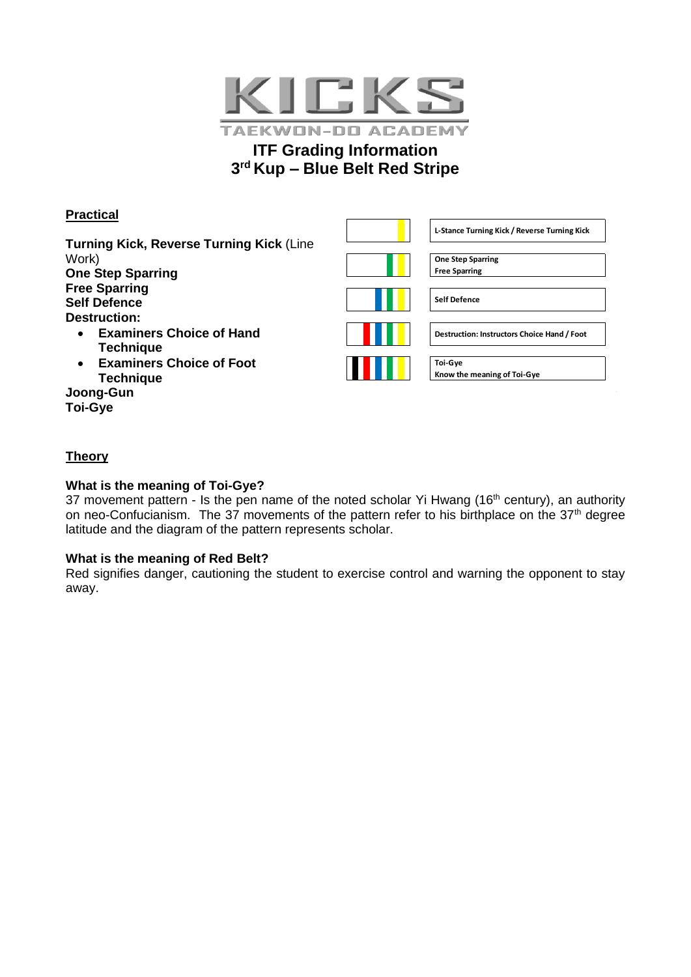

# **ITF Grading Information 3 rd Kup – Blue Belt Red Stripe**

# **Practical**

**Turning Kick, Reverse Turning Kick** (Line Work) **One Step Sparring Free Sparring Self Defence Destruction:**

- **Examiners Choice of Hand Technique**
- **Examiners Choice of Foot Technique**

**Joong-Gun Toi-Gye**

| L-Stance Turning Kick / Reverse Turning Kick     |
|--------------------------------------------------|
| <b>One Step Sparring</b><br><b>Free Sparring</b> |
| <b>Self Defence</b>                              |
| Destruction: Instructors Choice Hand / Foot      |
| <b>Toi-Gye</b><br>Know the meaning of Toi-Gye    |

# **Theory**

## **What is the meaning of Toi-Gye?**

37 movement pattern - Is the pen name of the noted scholar Yi Hwang (16<sup>th</sup> century), an authority on neo-Confucianism. The 37 movements of the pattern refer to his birthplace on the  $37<sup>th</sup>$  degree latitude and the diagram of the pattern represents scholar.

### **What is the meaning of Red Belt?**

Red signifies danger, cautioning the student to exercise control and warning the opponent to stay away.